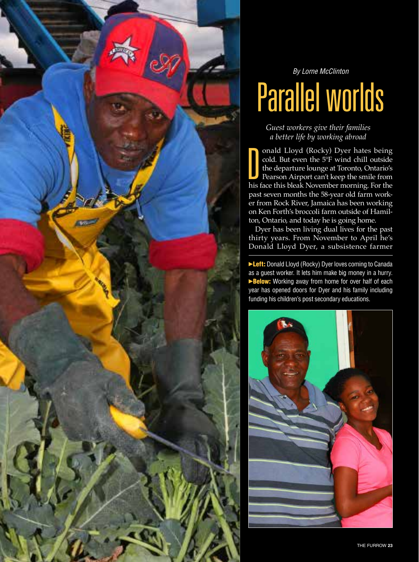

*By Lorne McClinton*

## Parallel worlds

*Guest workers give their families a better life by working abroad*

onald Lloyd (Rocky) Dyer hates being cold. But even the 5°F wind chill outside the departure lounge at Toronto, Ontario's Pearson Airport can't keep the smile from his face this bleak November morning. For the past seven months the 58-year old farm worker from Rock River, Jamaica has been working on Ken Forth's broccoli farm outside of Hamilton, Ontario, and today he is going home. D

Dyer has been living dual lives for the past thirty years. From November to April he's Donald Lloyd Dyer, a subsistence farmer

**Eleft:** Donald Lloyd (Rocky) Dyer loves coming to Canada as a guest worker. It lets him make big money in a hurry. Below: Working away from home for over half of each year has opened doors for Dyer and his family including funding his children's post secondary educations.

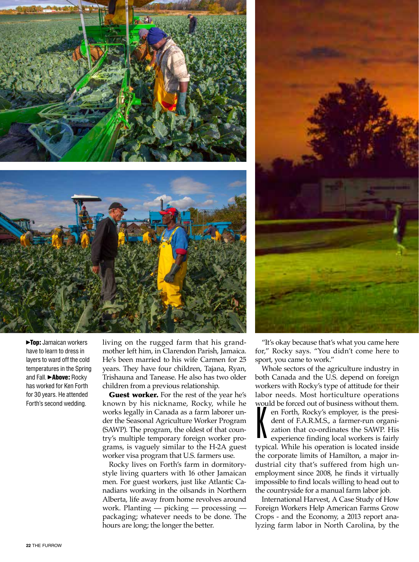



**Top:** Jamaican workers have to learn to dress in layers to ward off the cold temperatures in the Spring and Fall. > Above: Rocky has worked for Ken Forth for 30 years. He attended Forth's second wedding.

living on the rugged farm that his grandmother left him, in Clarendon Parish, Jamaica. He's been married to his wife Carmen for 25 years. They have four children, Tajana, Ryan, Trishauna and Tanease. He also has two older children from a previous relationship.

Guest worker. For the rest of the year he's known by his nickname, Rocky, while he works legally in Canada as a farm laborer under the Seasonal Agriculture Worker Program (SAWP). The program, the oldest of that country's multiple temporary foreign worker programs, is vaguely similar to the H-2A guest worker visa program that U.S. farmers use.

Rocky lives on Forth's farm in dormitorystyle living quarters with 16 other Jamaican men. For guest workers, just like Atlantic Canadians working in the oilsands in Northern Alberta, life away from home revolves around work. Planting — picking — processing packaging; whatever needs to be done. The hours are long; the longer the better.

"It's okay because that's what you came here for," Rocky says. "You didn't come here to sport, you came to work."

Whole sectors of the agriculture industry in both Canada and the U.S. depend on foreign workers with Rocky's type of attitude for their labor needs. Most horticulture operations

would be forced out of business without them.<br>
en Forth, Rocky's employer, is the president of F.A.R.M.S., a farmer-run organization that co-ordinates the SAWP. His<br>
experience finding local workers is fairly en Forth, Rocky's employer, is the president of F.A.R.M.S., a farmer-run organization that co-ordinates the SAWP. His experience finding local workers is fairly typical. While his operation is located inside the corporate limits of Hamilton, a major industrial city that's suffered from high unemployment since 2008, he finds it virtually impossible to find locals willing to head out to the countryside for a manual farm labor job.

International Harvest, A Case Study of How Foreign Workers Help American Farms Grow Crops - and the Economy, a 2013 report analyzing farm labor in North Carolina, by the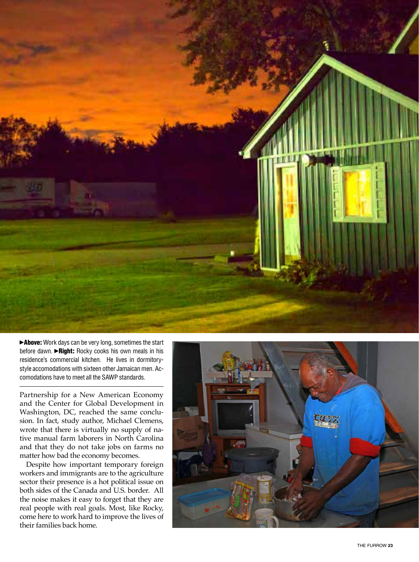

before dawn. ►Right: Rocky cooks his own meals in his residence's commercial kitchen. He lives in dormitorystyle accomodations with sixteen other Jamaican men. Accomodations have to meet all the SAWP standards.

Partnership for a New American Economy and the Center for Global Development in Washington, DC, reached the same conclu sion. In fact, study author, Michael Clemens, wrote that there is virtually no supply of na tive manual farm laborers in North Carolina and that they do not take jobs on farms no matter how bad the economy becomes.

Despite how important temporary foreign workers and immigrants are to the agriculture sector their presence is a hot political issue on both sides of the Canada and U.S. border. All the noise makes it easy to forget that they are real people with real goals. Most, like Rocky, come here to work hard to improve the lives of<br>their families back home. **Above:** Work days can be very long, sometimes the start before dawn. **-Right:** Rocky cooks his own meals in his residence's commercial kitchen. He lives in dormitory-style accomodations with sixteen other Jamaican men. A

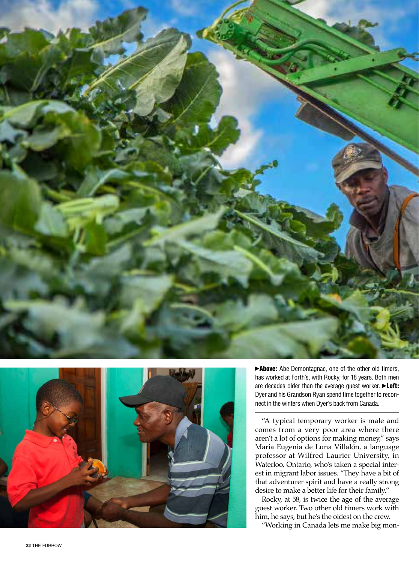



▶ Above: Abe Demontagnac, one of the other old timers, has worked at Forth's, with Rocky, for 18 years. Both men are decades older than the average guest worker. **>Left:** Dyer and his Grandson Ryan spend time together to recon nect in the winters when Dyer's back from Canada.

"A typical temporary worker is male and comes from a very poor area where there aren't a lot of options for making money," says Maria Eugenia de Luna Villalón, a language professor at Wilfred Laurier University, in Waterloo, Ontario, who's taken a special inter est in migrant labor issues. "They have a bit of that adventurer spirit and have a really strong desire to make a better life for their family."

Rocky, at 58, is twice the age of the average guest worker. Two other old timers work with him, he says, but he's the oldest on the crew.

"Working in Canada lets me make big mon -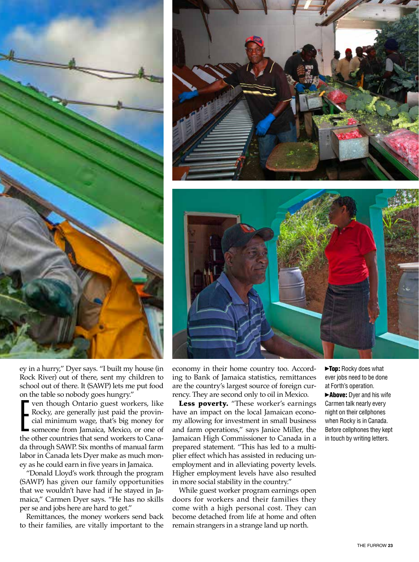





ey in a hurry," Dyer says. "I built my house (in Rock River) out of there, sent my children to school out of there. It (SAWP) lets me put food on the table so nobody goes hungry."

ven though Ontario guest workers, like Rocky, are generally just paid the provincial minimum wage, that's big money for someone from Jamaica, Mexico, or one of the other countries that send workers to Canada through SAWP. Six months of manual farm labor in Canada lets Dyer make as much money as he could earn in five years in Jamaica.  $\sum_{1}^{6n}$ 

"Donald Lloyd's work through the program (SAWP) has given our family opportunities that we wouldn't have had if he stayed in Jamaica," Carmen Dyer says. "He has no skills per se and jobs here are hard to get."

Remittances, the money workers send back to their families, are vitally important to the economy in their home country too. According to Bank of Jamaica statistics, remittances are the country's largest source of foreign currency. They are second only to oil in Mexico.

Less poverty. "These worker's earnings have an impact on the local Jamaican economy allowing for investment in small business and farm operations," says Janice Miller, the Jamaican High Commissioner to Canada in a prepared statement. "This has led to a multiplier effect which has assisted in reducing unemployment and in alleviating poverty levels. Higher employment levels have also resulted in more social stability in the country."

While guest worker program earnings open doors for workers and their families they come with a high personal cost. They can become detached from life at home and often remain strangers in a strange land up north.

Top: Rocky does what ever jobs need to be done at Forth's operation.

Above: Dyer and his wife Carmen talk nearly every night on their cellphones when Rocky is in Canada. Before cellphones they kept in touch by writing letters.